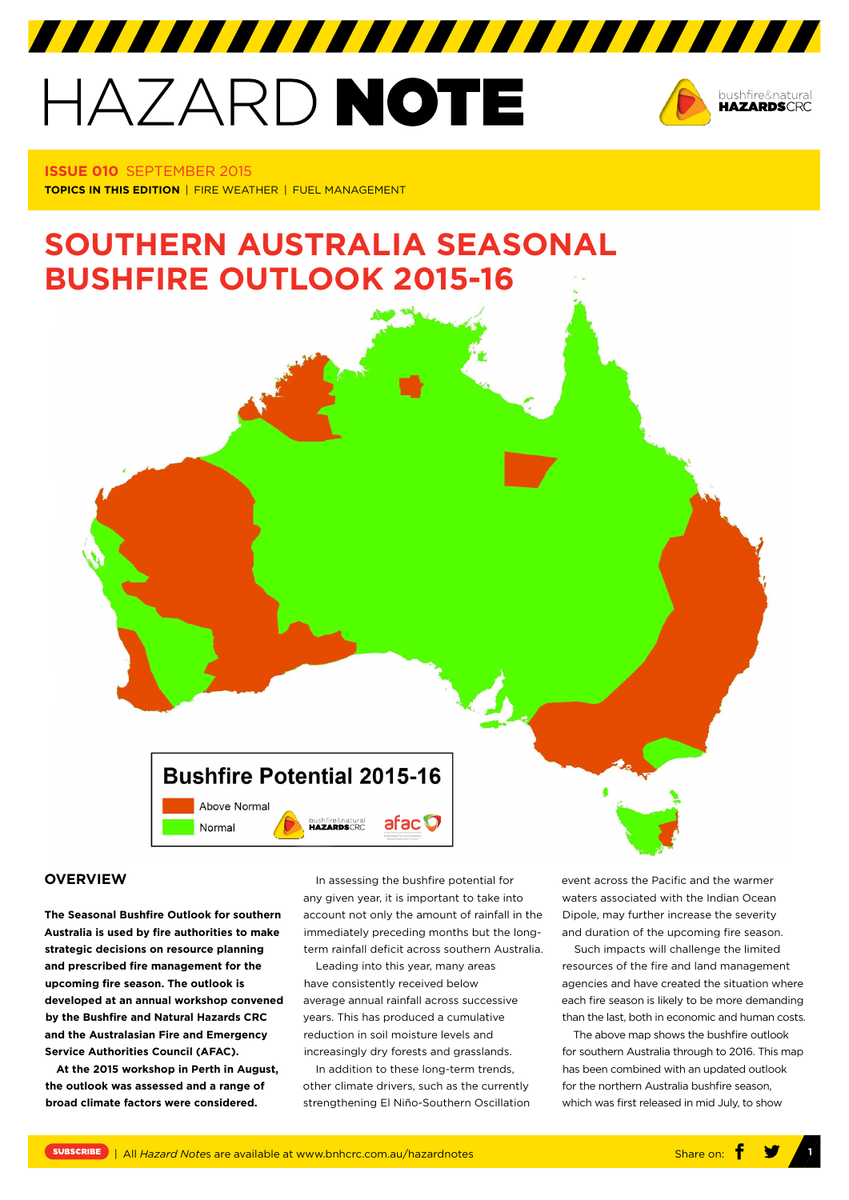# HAZARD NOTE



**ISSUE 010** SEPTEMBER 2015 **TOPICS IN THIS EDITION** | FIRE WEATHER | FUEL MANAGEMENT

# **SOUTHERN AUSTRALIA SEASONAL BUSHFIRE OUTLOOK 2015-16**

**Bushfire Potential 2015-16** Above Normal afac **O** bushfire&natural<br>**HAZARDS**CRC Normal

#### **OVERVIEW**

**The Seasonal Bushfire Outlook for southern Australia is used by fire authorities to make strategic decisions on resource planning and prescribed fire management for the upcoming fire season. The outlook is developed at an annual workshop convened by the Bushfire and Natural Hazards CRC and the Australasian Fire and Emergency Service Authorities Council (AFAC).**

**At the 2015 workshop in Perth in August, the outlook was assessed and a range of broad climate factors were considered.**

In assessing the bushfire potential for any given year, it is important to take into account not only the amount of rainfall in the immediately preceding months but the longterm rainfall deficit across southern Australia.

Leading into this year, many areas have consistently received below average annual rainfall across successive years. This has produced a cumulative reduction in soil moisture levels and increasingly dry forests and grasslands.

In addition to these long-term trends, other climate drivers, such as the currently strengthening El Niño-Southern Oscillation event across the Pacific and the warmer waters associated with the Indian Ocean Dipole, may further increase the severity and duration of the upcoming fire season.

Such impacts will challenge the limited resources of the fire and land management agencies and have created the situation where each fire season is likely to be more demanding than the last, both in economic and human costs.

The above map shows the bushfire outlook for southern Australia through to 2016. This map has been combined with an updated outlook for the northern Australia bushfire season, which was first released in mid July, to show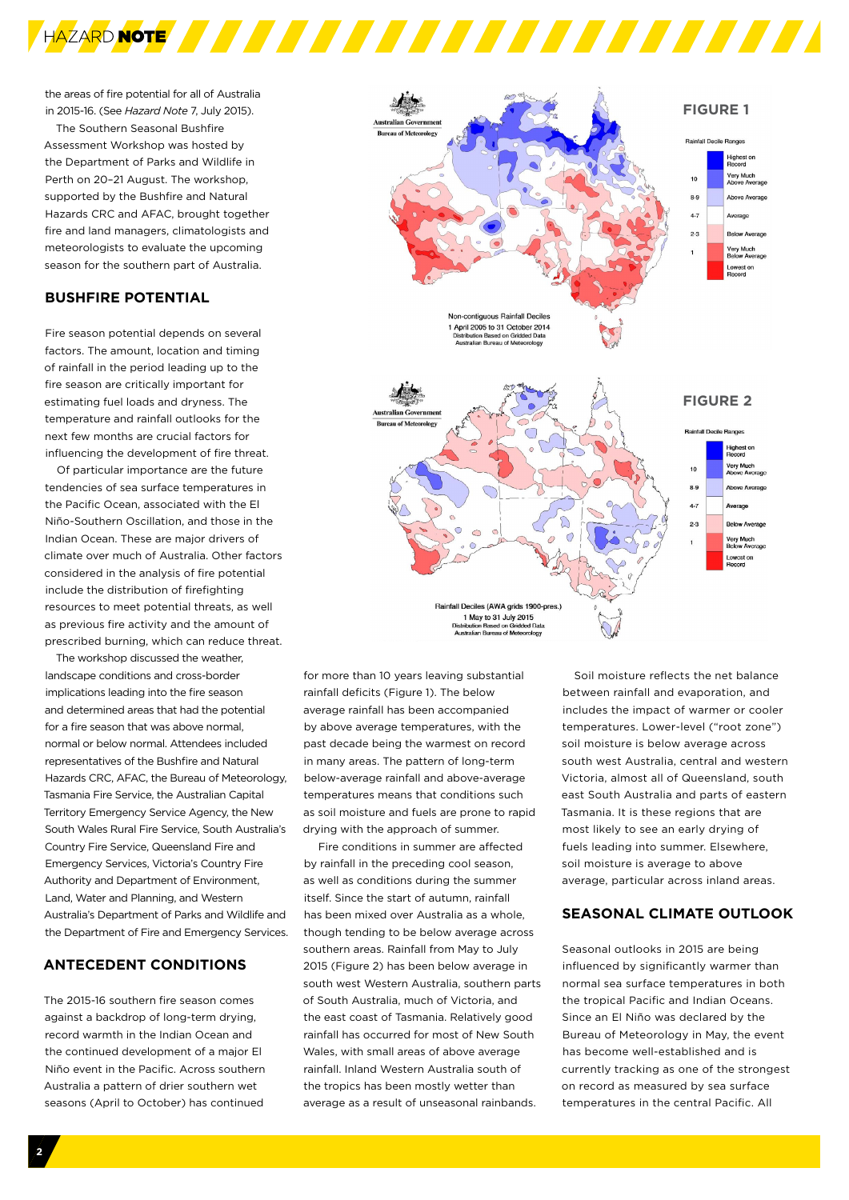

the areas of fire potential for all of Australia in 2015-16. (See *Hazard Note* 7, July 2015).

The Southern Seasonal Bushfire Assessment Workshop was hosted by the Department of Parks and Wildlife in Perth on 20–21 August. The workshop, supported by the Bushfire and Natural Hazards CRC and AFAC, brought together fire and land managers, climatologists and meteorologists to evaluate the upcoming season for the southern part of Australia.

# **BUSHFIRE POTENTIAL**

Fire season potential depends on several factors. The amount, location and timing of rainfall in the period leading up to the fire season are critically important for estimating fuel loads and dryness. The temperature and rainfall outlooks for the next few months are crucial factors for influencing the development of fire threat.

Of particular importance are the future tendencies of sea surface temperatures in the Pacific Ocean, associated with the El Niño-Southern Oscillation, and those in the Indian Ocean. These are major drivers of climate over much of Australia. Other factors considered in the analysis of fire potential include the distribution of firefighting resources to meet potential threats, as well as previous fire activity and the amount of prescribed burning, which can reduce threat.

The workshop discussed the weather, landscape conditions and cross-border implications leading into the fire season and determined areas that had the potential for a fire season that was above normal, normal or below normal. Attendees included representatives of the Bushfire and Natural Hazards CRC, AFAC, the Bureau of Meteorology, Tasmania Fire Service, the Australian Capital Territory Emergency Service Agency, the New South Wales Rural Fire Service, South Australia's Country Fire Service, Queensland Fire and Emergency Services, Victoria's Country Fire Authority and Department of Environment, Land, Water and Planning, and Western Australia's Department of Parks and Wildlife and the Department of Fire and Emergency Services.

# **ANTECEDENT CONDITIONS**

The 2015-16 southern fire season comes against a backdrop of long-term drying, record warmth in the Indian Ocean and the continued development of a major El Niño event in the Pacific. Across southern Australia a pattern of drier southern wet seasons (April to October) has continued



1 May to 31 July 2015 Distribution Based on Gridded Data<br>Australian Bureau of Meteorology

for more than 10 years leaving substantial rainfall deficits (Figure 1). The below average rainfall has been accompanied by above average temperatures, with the past decade being the warmest on record in many areas. The pattern of long-term below-average rainfall and above-average temperatures means that conditions such as soil moisture and fuels are prone to rapid drying with the approach of summer.

 Fire conditions in summer are affected by rainfall in the preceding cool season, as well as conditions during the summer itself. Since the start of autumn, rainfall has been mixed over Australia as a whole, though tending to be below average across southern areas. Rainfall from May to July 2015 (Figure 2) has been below average in south west Western Australia, southern parts of South Australia, much of Victoria, and the east coast of Tasmania. Relatively good rainfall has occurred for most of New South Wales, with small areas of above average rainfall. Inland Western Australia south of the tropics has been mostly wetter than average as a result of unseasonal rainbands.

Soil moisture reflects the net balance between rainfall and evaporation, and includes the impact of warmer or cooler temperatures. Lower-level ("root zone") soil moisture is below average across south west Australia, central and western Victoria, almost all of Queensland, south east South Australia and parts of eastern Tasmania. It is these regions that are most likely to see an early drying of fuels leading into summer. Elsewhere, soil moisture is average to above average, particular across inland areas.

# **SEASONAL CLIMATE OUTLOOK**

Seasonal outlooks in 2015 are being influenced by significantly warmer than normal sea surface temperatures in both the tropical Pacific and Indian Oceans. Since an El Niño was declared by the Bureau of Meteorology in May, the event has become well-established and is currently tracking as one of the strongest on record as measured by sea surface temperatures in the central Pacific. All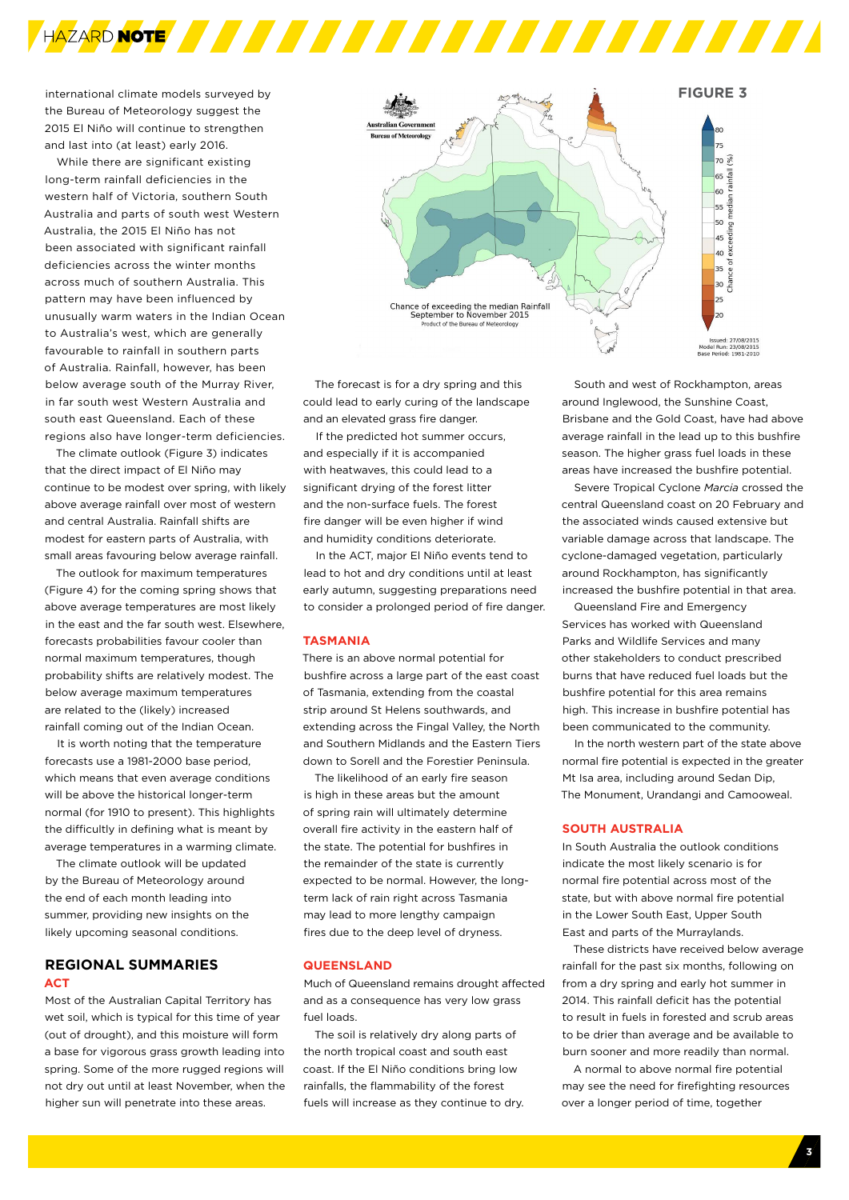

international climate models surveyed by the Bureau of Meteorology suggest the 2015 El Niño will continue to strengthen and last into (at least) early 2016.

While there are significant existing long-term rainfall deficiencies in the western half of Victoria, southern South Australia and parts of south west Western Australia, the 2015 El Niño has not been associated with significant rainfall deficiencies across the winter months across much of southern Australia. This pattern may have been influenced by unusually warm waters in the Indian Ocean to Australia's west, which are generally favourable to rainfall in southern parts of Australia. Rainfall, however, has been below average south of the Murray River, in far south west Western Australia and south east Queensland. Each of these regions also have longer-term deficiencies.

The climate outlook (Figure 3) indicates that the direct impact of El Niño may continue to be modest over spring, with likely above average rainfall over most of western and central Australia. Rainfall shifts are modest for eastern parts of Australia, with small areas favouring below average rainfall.

The outlook for maximum temperatures (Figure 4) for the coming spring shows that above average temperatures are most likely in the east and the far south west. Elsewhere, forecasts probabilities favour cooler than normal maximum temperatures, though probability shifts are relatively modest. The below average maximum temperatures are related to the (likely) increased rainfall coming out of the Indian Ocean.

It is worth noting that the temperature forecasts use a 1981-2000 base period, which means that even average conditions will be above the historical longer-term normal (for 1910 to present). This highlights the difficultly in defining what is meant by average temperatures in a warming climate.

The climate outlook will be updated by the Bureau of Meteorology around the end of each month leading into summer, providing new insights on the likely upcoming seasonal conditions.

# **REGIONAL SUMMARIES ACT**

Most of the Australian Capital Territory has wet soil, which is typical for this time of year (out of drought), and this moisture will form a base for vigorous grass growth leading into spring. Some of the more rugged regions will not dry out until at least November, when the higher sun will penetrate into these areas.



The forecast is for a dry spring and this could lead to early curing of the landscape and an elevated grass fire danger.

If the predicted hot summer occurs, and especially if it is accompanied with heatwaves, this could lead to a significant drying of the forest litter and the non-surface fuels. The forest fire danger will be even higher if wind and humidity conditions deteriorate.

In the ACT, major El Niño events tend to lead to hot and dry conditions until at least early autumn, suggesting preparations need to consider a prolonged period of fire danger.

#### **TASMANIA**

There is an above normal potential for bushfire across a large part of the east coast of Tasmania, extending from the coastal strip around St Helens southwards, and extending across the Fingal Valley, the North and Southern Midlands and the Eastern Tiers down to Sorell and the Forestier Peninsula.

The likelihood of an early fire season is high in these areas but the amount of spring rain will ultimately determine overall fire activity in the eastern half of the state. The potential for bushfires in the remainder of the state is currently expected to be normal. However, the longterm lack of rain right across Tasmania may lead to more lengthy campaign fires due to the deep level of dryness.

#### **QUEENSLAND**

Much of Queensland remains drought affected and as a consequence has very low grass fuel loads.

The soil is relatively dry along parts of the north tropical coast and south east coast. If the El Niño conditions bring low rainfalls, the flammability of the forest fuels will increase as they continue to dry.

South and west of Rockhampton, areas around Inglewood, the Sunshine Coast, Brisbane and the Gold Coast, have had above average rainfall in the lead up to this bushfire season. The higher grass fuel loads in these areas have increased the bushfire potential.

Severe Tropical Cyclone *Marcia* crossed the central Queensland coast on 20 February and the associated winds caused extensive but variable damage across that landscape. The cyclone-damaged vegetation, particularly around Rockhampton, has significantly increased the bushfire potential in that area.

Queensland Fire and Emergency Services has worked with Queensland Parks and Wildlife Services and many other stakeholders to conduct prescribed burns that have reduced fuel loads but the bushfire potential for this area remains high. This increase in bushfire potential has been communicated to the community.

In the north western part of the state above normal fire potential is expected in the greater Mt Isa area, including around Sedan Dip, The Monument, Urandangi and Camooweal.

#### **SOUTH AUSTRALIA**

In South Australia the outlook conditions indicate the most likely scenario is for normal fire potential across most of the state, but with above normal fire potential in the Lower South East, Upper South East and parts of the Murraylands.

These districts have received below average rainfall for the past six months, following on from a dry spring and early hot summer in 2014. This rainfall deficit has the potential to result in fuels in forested and scrub areas to be drier than average and be available to burn sooner and more readily than normal.

A normal to above normal fire potential may see the need for firefighting resources over a longer period of time, together